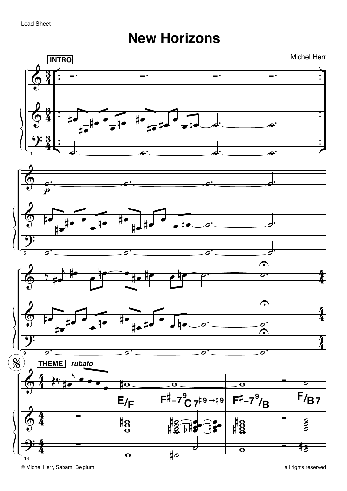## **New Horizons**

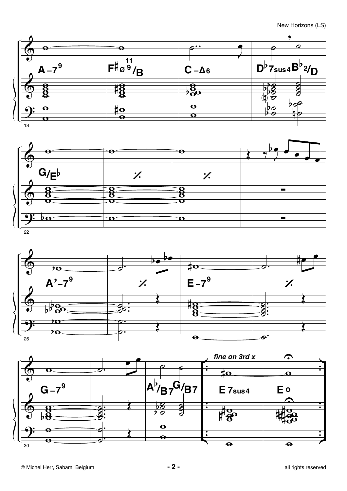